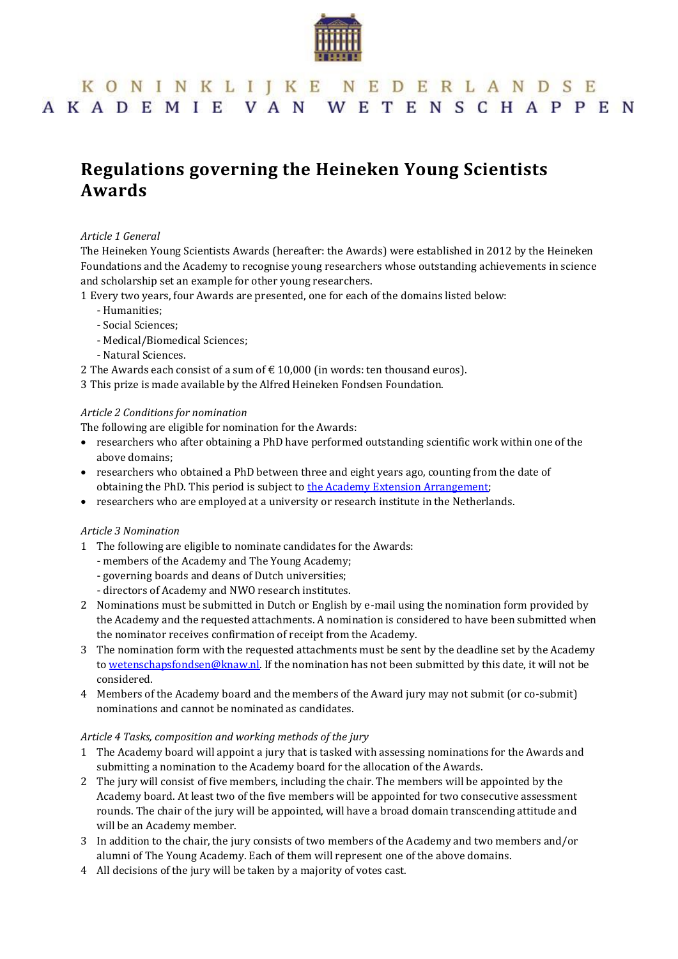

# KONINKLIJKE NEDERLANDSE AKADEMIE VAN WETENSCHAPPEN

# **Regulations governing the Heineken Young Scientists Awards**

# *Article 1 General*

The Heineken Young Scientists Awards (hereafter: the Awards) were established in 2012 by the Heineken Foundations and the Academy to recognise young researchers whose outstanding achievements in science and scholarship set an example for other young researchers.

- 1 Every two years, four Awards are presented, one for each of the domains listed below:
	- Humanities;
	- Social Sciences;
	- Medical/Biomedical Sciences;
	- Natural Sciences.
- 2 The Awards each consist of a sum of  $\epsilon$  10,000 (in words: ten thousand euros).
- 3 This prize is made available by the Alfred Heineken Fondsen Foundation.

#### *Article 2 Conditions for nomination*

The following are eligible for nomination for the Awards:

- researchers who after obtaining a PhD have performed outstanding scientific work within one of the above domains;
- researchers who obtained a PhD between three and eight years ago, counting from the date of obtaining the PhD. This period is subject to [the Academy Extension](https://knaw.nl/shared/resources/prijzen/bestanden/academy-extension-arrangement) Arrangement;
- researchers who are employed at a university or research institute in the Netherlands.

#### *Article 3 Nomination*

- 1 The following are eligible to nominate candidates for the Awards:
	- members of the Academy and The Young Academy;
	- governing boards and deans of Dutch universities;
	- directors of Academy and NWO research institutes.
- 2 Nominations must be submitted in Dutch or English by e-mail using the nomination form provided by the Academy and the requested attachments. A nomination is considered to have been submitted when the nominator receives confirmation of receipt from the Academy.
- 3 The nomination form with the requested attachments must be sent by the deadline set by the Academy to [wetenschapsfondsen@knaw.nl.](mailto:wetenschapsfondsen@knaw.nl) If the nomination has not been submitted by this date, it will not be considered.
- 4 Members of the Academy board and the members of the Award jury may not submit (or co-submit) nominations and cannot be nominated as candidates.

#### *Article 4 Tasks, composition and working methods of the jury*

- 1 The Academy board will appoint a jury that is tasked with assessing nominations for the Awards and submitting a nomination to the Academy board for the allocation of the Awards.
- 2 The jury will consist of five members, including the chair. The members will be appointed by the Academy board. At least two of the five members will be appointed for two consecutive assessment rounds. The chair of the jury will be appointed, will have a broad domain transcending attitude and will be an Academy member.
- 3 In addition to the chair, the jury consists of two members of the Academy and two members and/or alumni of The Young Academy. Each of them will represent one of the above domains.
- 4 All decisions of the jury will be taken by a majority of votes cast.